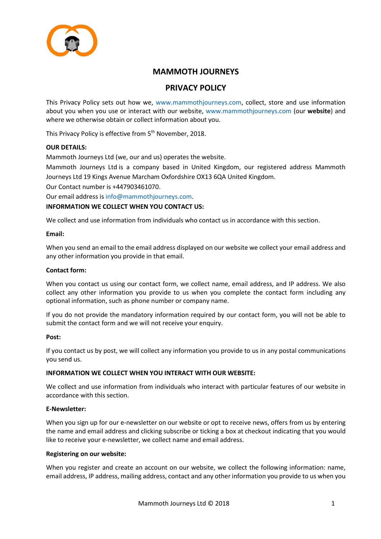

# **MAMMOTH JOURNEYS**

# **PRIVACY POLICY**

This Privacy Policy sets out how we, [www.mammothjourneys.com,](http://www.mammothjourneys.com/) collect, store and use information about you when you use or interact with our website, [www.mammothjourneys.com](http://www.mammothjourneys.com/) (our **website**) and where we otherwise obtain or collect information about you.

This Privacy Policy is effective from 5<sup>th</sup> November, 2018.

## **OUR DETAILS:**

Mammoth Journeys Ltd (we, our and us) operates the website.

Mammoth Journeys Ltd is a company based in United Kingdom, our registered address Mammoth Journeys Ltd 19 Kings Avenue Marcham Oxfordshire OX13 6QA United Kingdom.

Our Contact number is +447903461070.

Our email address is [info@mammothjourneys.com.](mailto:INFO@MAMMOTHJOURNEYS.COM)

## **INFORMATION WE COLLECT WHEN YOU CONTACT US:**

We collect and use information from individuals who contact us in accordance with this section.

#### **Email:**

When you send an email to the email address displayed on our website we collect your email address and any other information you provide in that email.

#### **Contact form:**

When you contact us using our contact form, we collect name, email address, and IP address. We also collect any other information you provide to us when you complete the contact form including any optional information, such as phone number or company name.

If you do not provide the mandatory information required by our contact form, you will not be able to submit the contact form and we will not receive your enquiry.

## **Post:**

If you contact us by post, we will collect any information you provide to us in any postal communications you send us.

## **INFORMATION WE COLLECT WHEN YOU INTERACT WITH OUR WEBSITE:**

We collect and use information from individuals who interact with particular features of our website in accordance with this section.

## **E-Newsletter:**

When you sign up for our e-newsletter on our website or opt to receive news, offers from us by entering the name and email address and clicking subscribe or ticking a box at checkout indicating that you would like to receive your e-newsletter, we collect name and email address.

#### **Registering on our website:**

When you register and create an account on our website, we collect the following information: name, email address, IP address, mailing address, contact and any other information you provide to us when you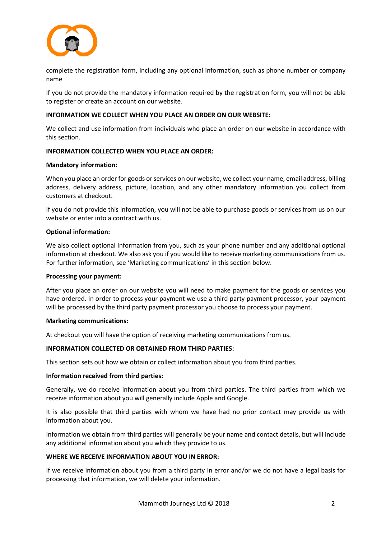

complete the registration form, including any optional information, such as phone number or company name

If you do not provide the mandatory information required by the registration form, you will not be able to register or create an account on our website.

#### **INFORMATION WE COLLECT WHEN YOU PLACE AN ORDER ON OUR WEBSITE:**

We collect and use information from individuals who place an order on our website in accordance with this section.

#### **INFORMATION COLLECTED WHEN YOU PLACE AN ORDER:**

#### **Mandatory information:**

When you place an order for goods or services on our website, we collect your name, email address, billing address, delivery address, picture, location, and any other mandatory information you collect from customers at checkout.

If you do not provide this information, you will not be able to purchase goods or services from us on our website or enter into a contract with us.

#### **Optional information:**

We also collect optional information from you, such as your phone number and any additional optional information at checkout. We also ask you if you would like to receive marketing communications from us. For further information, see 'Marketing communications' in this section below.

#### **Processing your payment:**

After you place an order on our website you will need to make payment for the goods or services you have ordered. In order to process your payment we use a third party payment processor, your payment will be processed by the third party payment processor you choose to process your payment.

#### **Marketing communications:**

At checkout you will have the option of receiving marketing communications from us.

## **INFORMATION COLLECTED OR OBTAINED FROM THIRD PARTIES:**

This section sets out how we obtain or collect information about you from third parties.

#### **Information received from third parties:**

Generally, we do receive information about you from third parties. The third parties from which we receive information about you will generally include Apple and Google.

It is also possible that third parties with whom we have had no prior contact may provide us with information about you.

Information we obtain from third parties will generally be your name and contact details, but will include any additional information about you which they provide to us.

## **WHERE WE RECEIVE INFORMATION ABOUT YOU IN ERROR:**

If we receive information about you from a third party in error and/or we do not have a legal basis for processing that information, we will delete your information.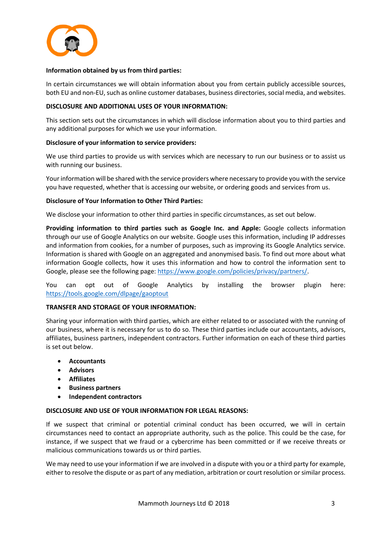

#### **Information obtained by us from third parties:**

In certain circumstances we will obtain information about you from certain publicly accessible sources, both EU and non-EU, such as online customer databases, business directories, social media, and websites.

#### **DISCLOSURE AND ADDITIONAL USES OF YOUR INFORMATION:**

This section sets out the circumstances in which will disclose information about you to third parties and any additional purposes for which we use your information.

## **Disclosure of your information to service providers:**

We use third parties to provide us with services which are necessary to run our business or to assist us with running our business.

Your information will be shared with the service providers where necessary to provide you with the service you have requested, whether that is accessing our website, or ordering goods and services from us.

#### **Disclosure of Your Information to Other Third Parties:**

We disclose your information to other third parties in specific circumstances, as set out below.

**Providing information to third parties such as Google Inc. and Apple:** Google collects information through our use of Google Analytics on our website. Google uses this information, including IP addresses and information from cookies, for a number of purposes, such as improving its Google Analytics service. Information is shared with Google on an aggregated and anonymised basis. To find out more about what information Google collects, how it uses this information and how to control the information sent to Google, please see the following page: [https://www.google.com/policies/privacy/partners/.](https://www.google.com/policies/privacy/partners/)

You can opt out of Google Analytics by installing the browser plugin here: <https://tools.google.com/dlpage/gaoptout>

## **TRANSFER AND STORAGE OF YOUR INFORMATION:**

Sharing your information with third parties, which are either related to or associated with the running of our business, where it is necessary for us to do so. These third parties include our accountants, advisors, affiliates, business partners, independent contractors. Further information on each of these third parties is set out below.

- **Accountants**
- **Advisors**
- **Affiliates**
- **Business partners**
- **Independent contractors**

# **DISCLOSURE AND USE OF YOUR INFORMATION FOR LEGAL REASONS:**

If we suspect that criminal or potential criminal conduct has been occurred, we will in certain circumstances need to contact an appropriate authority, such as the police. This could be the case, for instance, if we suspect that we fraud or a cybercrime has been committed or if we receive threats or malicious communications towards us or third parties.

We may need to use your information if we are involved in a dispute with you or a third party for example, either to resolve the dispute or as part of any mediation, arbitration or court resolution or similar process.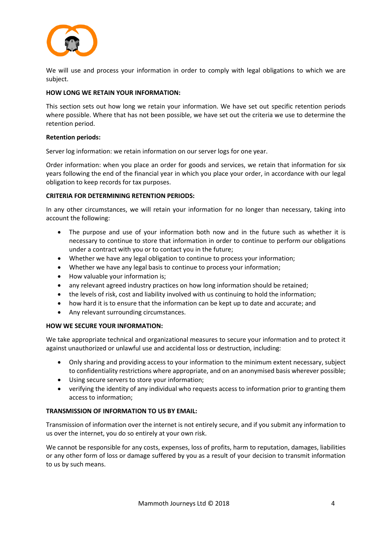

We will use and process your information in order to comply with legal obligations to which we are subject.

## **HOW LONG WE RETAIN YOUR INFORMATION:**

This section sets out how long we retain your information. We have set out specific retention periods where possible. Where that has not been possible, we have set out the criteria we use to determine the retention period.

#### **Retention periods:**

Server log information: we retain information on our server logs for one year.

Order information: when you place an order for goods and services, we retain that information for six years following the end of the financial year in which you place your order, in accordance with our legal obligation to keep records for tax purposes.

## **CRITERIA FOR DETERMINING RETENTION PERIODS:**

In any other circumstances, we will retain your information for no longer than necessary, taking into account the following:

- The purpose and use of your information both now and in the future such as whether it is necessary to continue to store that information in order to continue to perform our obligations under a contract with you or to contact you in the future;
- Whether we have any legal obligation to continue to process your information;
- Whether we have any legal basis to continue to process your information;
- How valuable your information is;
- any relevant agreed industry practices on how long information should be retained;
- the levels of risk, cost and liability involved with us continuing to hold the information;
- how hard it is to ensure that the information can be kept up to date and accurate; and
- Any relevant surrounding circumstances.

## **HOW WE SECURE YOUR INFORMATION:**

We take appropriate technical and organizational measures to secure your information and to protect it against unauthorized or unlawful use and accidental loss or destruction, including:

- Only sharing and providing access to your information to the minimum extent necessary, subject to confidentiality restrictions where appropriate, and on an anonymised basis wherever possible;
- Using secure servers to store your information;
- verifying the identity of any individual who requests access to information prior to granting them access to information;

## **TRANSMISSION OF INFORMATION TO US BY EMAIL:**

Transmission of information over the internet is not entirely secure, and if you submit any information to us over the internet, you do so entirely at your own risk.

We cannot be responsible for any costs, expenses, loss of profits, harm to reputation, damages, liabilities or any other form of loss or damage suffered by you as a result of your decision to transmit information to us by such means.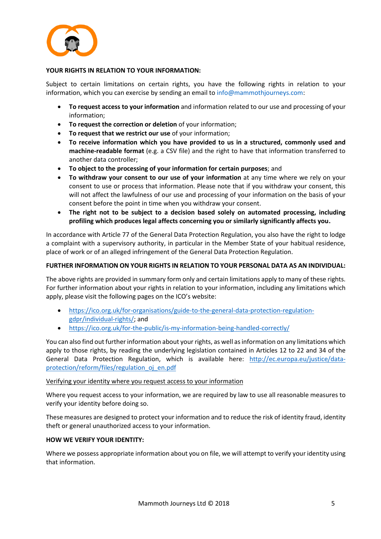

## **YOUR RIGHTS IN RELATION TO YOUR INFORMATION:**

Subject to certain limitations on certain rights, you have the following rights in relation to your information, which you can exercise by sending an email to [info@mammothjourneys.com:](mailto:INFO@MAMMOTHJOURNEYS.COM)

- **To request access to your information** and information related to our use and processing of your information;
- **To request the correction or deletion** of your information;
- **To request that we restrict our use** of your information;
- **To receive information which you have provided to us in a structured, commonly used and machine-readable format** (e.g. a CSV file) and the right to have that information transferred to another data controller;
- **To object to the processing of your information for certain purposes**; and
- **To withdraw your consent to our use of your information** at any time where we rely on your consent to use or process that information. Please note that if you withdraw your consent, this will not affect the lawfulness of our use and processing of your information on the basis of your consent before the point in time when you withdraw your consent.
- **The right not to be subject to a decision based solely on automated processing, including profiling which produces legal affects concerning you or similarly significantly affects you.**

In accordance with Article 77 of the General Data Protection Regulation, you also have the right to lodge a complaint with a supervisory authority, in particular in the Member State of your habitual residence, place of work or of an alleged infringement of the General Data Protection Regulation.

## **FURTHER INFORMATION ON YOUR RIGHTS IN RELATION TO YOUR PERSONAL DATA AS AN INDIVIDUAL:**

The above rights are provided in summary form only and certain limitations apply to many of these rights. For further information about your rights in relation to your information, including any limitations which apply, please visit the following pages on the ICO's website:

- [https://ico.org.uk/for-organisations/guide-to-the-general-data-protection-regulation](https://ico.org.uk/for-organisations/guide-to-the-general-data-protection-regulation-gdpr/individual-rights/)[gdpr/individual-rights/;](https://ico.org.uk/for-organisations/guide-to-the-general-data-protection-regulation-gdpr/individual-rights/) and
- <https://ico.org.uk/for-the-public/is-my-information-being-handled-correctly/>

You can also find out further information about your rights, as well as information on any limitations which apply to those rights, by reading the underlying legislation contained in Articles 12 to 22 and 34 of the General Data Protection Regulation, which is available here: [http://ec.europa.eu/justice/data](http://ec.europa.eu/justice/data-protection/reform/files/regulation_oj_en.pdf)[protection/reform/files/regulation\\_oj\\_en.pdf](http://ec.europa.eu/justice/data-protection/reform/files/regulation_oj_en.pdf)

## Verifying your identity where you request access to your information

Where you request access to your information, we are required by law to use all reasonable measures to verify your identity before doing so.

These measures are designed to protect your information and to reduce the risk of identity fraud, identity theft or general unauthorized access to your information.

## **HOW WE VERIFY YOUR IDENTITY:**

Where we possess appropriate information about you on file, we will attempt to verify your identity using that information.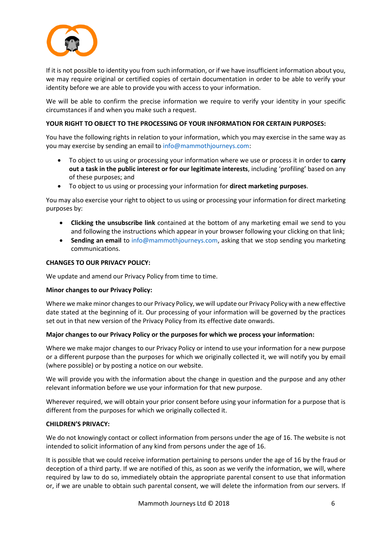

If it is not possible to identity you from such information, or if we have insufficient information about you, we may require original or certified copies of certain documentation in order to be able to verify your identity before we are able to provide you with access to your information.

We will be able to confirm the precise information we require to verify your identity in your specific circumstances if and when you make such a request.

## **YOUR RIGHT TO OBJECT TO THE PROCESSING OF YOUR INFORMATION FOR CERTAIN PURPOSES:**

You have the following rights in relation to your information, which you may exercise in the same way as you may exercise by sending an email t[o info@mammothjourneys.com:](mailto:INFO@MAMMOTHJOURNEYS.COM)

- To object to us using or processing your information where we use or process it in order to **carry out a task in the public interest or for our legitimate interests**, including 'profiling' based on any of these purposes; and
- To object to us using or processing your information for **direct marketing purposes**.

You may also exercise your right to object to us using or processing your information for direct marketing purposes by:

- **Clicking the unsubscribe link** contained at the bottom of any marketing email we send to you and following the instructions which appear in your browser following your clicking on that link;
- **Sending an email** to [info@mammothjourneys.com,](mailto:INFO@MAMMOTHJOURNEYS.COM) asking that we stop sending you marketing communications.

## **CHANGES TO OUR PRIVACY POLICY:**

We update and amend our Privacy Policy from time to time.

## **Minor changes to our Privacy Policy:**

Where we make minor changes to our Privacy Policy, we will update our Privacy Policy with a new effective date stated at the beginning of it. Our processing of your information will be governed by the practices set out in that new version of the Privacy Policy from its effective date onwards.

## **Major changes to our Privacy Policy or the purposes for which we process your information:**

Where we make major changes to our Privacy Policy or intend to use your information for a new purpose or a different purpose than the purposes for which we originally collected it, we will notify you by email (where possible) or by posting a notice on our website.

We will provide you with the information about the change in question and the purpose and any other relevant information before we use your information for that new purpose.

Wherever required, we will obtain your prior consent before using your information for a purpose that is different from the purposes for which we originally collected it.

## **CHILDREN'S PRIVACY:**

We do not knowingly contact or collect information from persons under the age of 16. The website is not intended to solicit information of any kind from persons under the age of 16.

It is possible that we could receive information pertaining to persons under the age of 16 by the fraud or deception of a third party. If we are notified of this, as soon as we verify the information, we will, where required by law to do so, immediately obtain the appropriate parental consent to use that information or, if we are unable to obtain such parental consent, we will delete the information from our servers. If